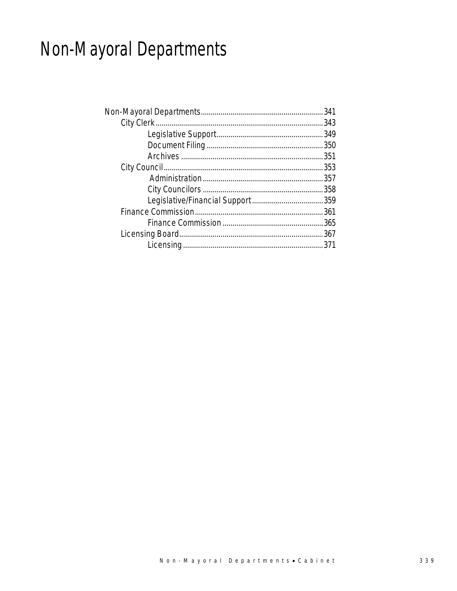# Non-Mayoral Departments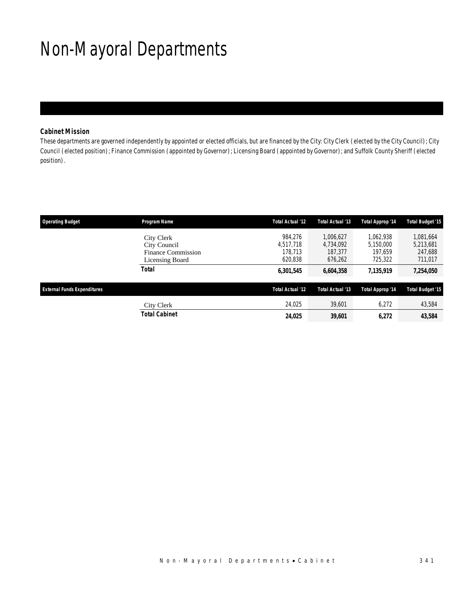# Non-Mayoral Departments

### *Cabinet Mission*

These departments are governed independently by appointed or elected officials, but are financed by the City: City Clerk (elected by the City Council); City Council (elected position); Finance Commission (appointed by Governor); Licensing Board (appointed by Governor); and Suffolk County Sheriff (elected position).

| <b>Operating Budget</b>            | Program Name                                                        | Total Actual '12                           | Total Actual '13                             | <b>Total Approp '14</b>                      | <b>Total Budget '15</b>                      |
|------------------------------------|---------------------------------------------------------------------|--------------------------------------------|----------------------------------------------|----------------------------------------------|----------------------------------------------|
|                                    | City Clerk<br>City Council<br>Finance Commission<br>Licensing Board | 984.276<br>4.517.718<br>178,713<br>620.838 | 1.006.627<br>4.734.092<br>187,377<br>676,262 | 1.062.938<br>5.150.000<br>197.659<br>725,322 | 1,081,664<br>5,213,681<br>247,688<br>711,017 |
|                                    | <b>Total</b>                                                        | 6,301,545                                  | 6,604,358                                    | 7,135,919                                    | 7,254,050                                    |
| <b>External Funds Expenditures</b> |                                                                     | Total Actual '12                           | Total Actual '13                             | Total Approp '14                             | <b>Total Budget '15</b>                      |
|                                    | City Clerk                                                          | 24,025                                     | 39,601                                       | 6.272                                        | 43,584                                       |
|                                    | <b>Total Cabinet</b>                                                | 24,025                                     | 39,601                                       | 6.272                                        | 43,584                                       |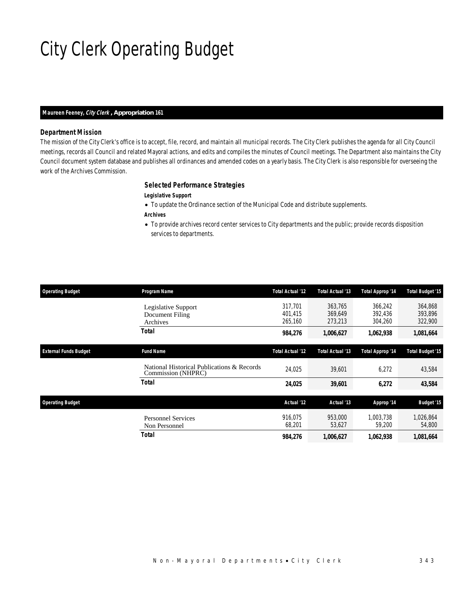# City Clerk Operating Budget

#### *Maureen Feeney, City Clerk , Appropriation 161*

#### *Department Mission*

The mission of the City Clerk's office is to accept, file, record, and maintain all municipal records. The City Clerk publishes the agenda for all City Council meetings, records all Council and related Mayoral actions, and edits and compiles the minutes of Council meetings. The Department also maintains the City Council document system database and publishes all ordinances and amended codes on a yearly basis. The City Clerk is also responsible for overseeing the work of the Archives Commission.

### *Selected Performance Strategies*

- *Legislative Support*
- To update the Ordinance section of the Municipal Code and distribute supplements.
- *Archives*
- To provide archives record center services to City departments and the public; provide records disposition services to departments.

| <b>Operating Budget</b>      | Program Name                                                     | Total Actual '12              | Total Actual '13              | Total Approp '14              | <b>Total Budget '15</b>       |
|------------------------------|------------------------------------------------------------------|-------------------------------|-------------------------------|-------------------------------|-------------------------------|
|                              | Legislative Support<br>Document Filing<br>Archives               | 317.701<br>401.415<br>265.160 | 363.765<br>369.649<br>273,213 | 366,242<br>392.436<br>304,260 | 364,868<br>393,896<br>322,900 |
|                              | Total                                                            | 984,276                       | 1,006,627                     | 1,062,938                     | 1,081,664                     |
| <b>External Funds Budget</b> | <b>Fund Name</b>                                                 | Total Actual '12              | Total Actual '13              | Total Approp '14              | <b>Total Budget '15</b>       |
|                              | National Historical Publications & Records<br>Commission (NHPRC) | 24,025                        | 39,601                        | 6,272                         | 43,584                        |
|                              | Total                                                            | 24,025                        | 39,601                        | 6,272                         | 43,584                        |
| <b>Operating Budget</b>      |                                                                  | Actual '12                    | Actual '13                    | Approp '14                    | <b>Budget '15</b>             |
|                              | <b>Personnel Services</b><br>Non Personnel                       | 916,075<br>68,201             | 953,000<br>53,627             | 1,003,738<br>59,200           | 1,026,864<br>54,800           |
|                              | Total                                                            | 984.276                       | 1,006,627                     | 1,062,938                     | 1,081,664                     |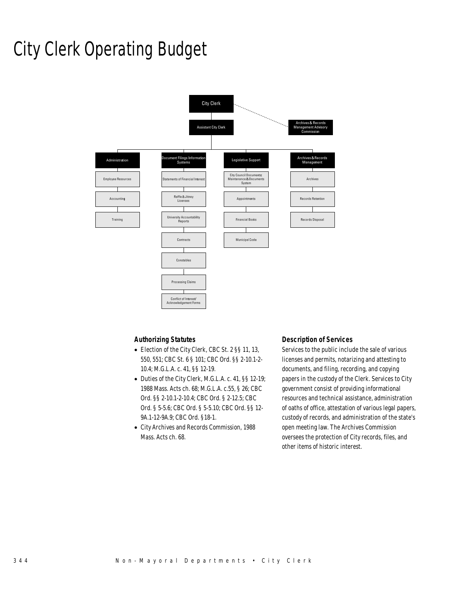# City Clerk Operating Budget



### *Authorizing Statutes*

- Election of the City Clerk, CBC St. 2 §§ 11, 13, 550, 551; CBC St. 6 § 101; CBC Ord. §§ 2-10.1-2- 10.4; M.G.L.A. c. 41, §§ 12-19.
- Duties of the City Clerk, M.G.L.A. c. 41, §§ 12-19; 1988 Mass. Acts ch. 68; M.G.L.A. c.55, § 26; CBC Ord. §§ 2-10.1-2-10.4; CBC Ord. § 2-12.5; CBC Ord. § 5-5.6; CBC Ord. § 5-5.10; CBC Ord. §§ 12- 9A.1-12-9A.9; CBC Ord. §18-1.
- City Archives and Records Commission, 1988 Mass. Acts ch. 68.

#### *Description of Services*

Services to the public include the sale of various licenses and permits, notarizing and attesting to documents, and filing, recording, and copying papers in the custody of the Clerk. Services to City government consist of providing informational resources and technical assistance, administration of oaths of office, attestation of various legal papers, custody of records, and administration of the state's open meeting law. The Archives Commission oversees the protection of City records, files, and other items of historic interest.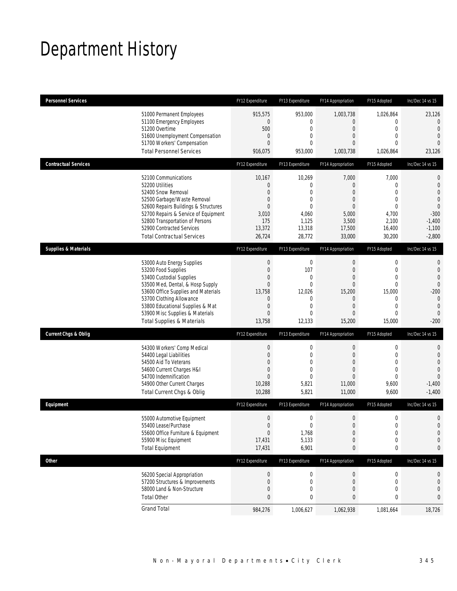# Department History

| <b>Personnel Services</b>       |                                                                                                                                                                                                                                                                                                      | FY12 Expenditure                                                                                                         | FY13 Expenditure                                                                                            | FY14 Appropriation                                                                                             | FY15 Adopted                                                                                             | Inc/Dec 14 vs 15                                                                                                                 |
|---------------------------------|------------------------------------------------------------------------------------------------------------------------------------------------------------------------------------------------------------------------------------------------------------------------------------------------------|--------------------------------------------------------------------------------------------------------------------------|-------------------------------------------------------------------------------------------------------------|----------------------------------------------------------------------------------------------------------------|----------------------------------------------------------------------------------------------------------|----------------------------------------------------------------------------------------------------------------------------------|
|                                 | 51000 Permanent Employees<br>51100 Emergency Employees<br>51200 Overtime<br>51600 Unemployment Compensation<br>51700 Workers' Compensation<br><b>Total Personnel Services</b>                                                                                                                        | 915,575<br>$\overline{0}$<br>500<br>$\mathbf 0$<br>$\Omega$<br>916,075                                                   | 953,000<br>0<br>$\mathbf 0$<br>$\mathbf{0}$<br>$\mathbf{0}$<br>953,000                                      | 1,003,738<br>$\mathbf{0}$<br>$\boldsymbol{0}$<br>0<br>0<br>1,003,738                                           | 1,026,864<br>0<br>$\mathbf 0$<br>$\mathbf{0}$<br>$\theta$<br>1,026,864                                   | 23,126<br>$\overline{0}$<br>$\overline{0}$<br>$\overline{0}$<br>$\Omega$<br>23,126                                               |
| <b>Contractual Services</b>     |                                                                                                                                                                                                                                                                                                      | FY12 Expenditure                                                                                                         | FY13 Expenditure                                                                                            | FY14 Appropriation                                                                                             | FY15 Adopted                                                                                             | Inc/Dec 14 vs 15                                                                                                                 |
|                                 | 52100 Communications<br>52200 Utilities<br>52400 Snow Removal<br>52500 Garbage/Waste Removal<br>52600 Repairs Buildings & Structures<br>52700 Repairs & Service of Equipment<br>52800 Transportation of Persons<br>52900 Contracted Services<br><b>Total Contractual Services</b>                    | 10,167<br>0<br>$\overline{0}$<br>0<br>$\overline{0}$<br>3,010<br>175<br>13,372<br>26,724                                 | 10,269<br>$\mathbf{0}$<br>$\mathbf{0}$<br>$\mathbf 0$<br>$\mathbf{0}$<br>4,060<br>1,125<br>13,318<br>28,772 | 7,000<br>$\mathbf{0}$<br>0<br>0<br>$\mathbf{0}$<br>5,000<br>3,500<br>17,500<br>33,000                          | 7,000<br>0<br>$\mathbf{0}$<br>$\mathbf 0$<br>$\mathbf{0}$<br>4,700<br>2,100<br>16,400<br>30,200          | $\mathbf 0$<br>$\mathbf 0$<br>$\overline{0}$<br>$\overline{0}$<br>$\theta$<br>$-300$<br>$-1,400$<br>$-1,100$<br>$-2,800$         |
| <b>Supplies &amp; Materials</b> |                                                                                                                                                                                                                                                                                                      | FY12 Expenditure                                                                                                         | FY13 Expenditure                                                                                            | FY14 Appropriation                                                                                             | FY15 Adopted                                                                                             | Inc/Dec 14 vs 15                                                                                                                 |
|                                 | 53000 Auto Energy Supplies<br>53200 Food Supplies<br>53400 Custodial Supplies<br>53500 Med, Dental, & Hosp Supply<br>53600 Office Supplies and Materials<br>53700 Clothing Allowance<br>53800 Educational Supplies & Mat<br>53900 Misc Supplies & Materials<br><b>Total Supplies &amp; Materials</b> | $\boldsymbol{0}$<br>$\boldsymbol{0}$<br>0<br>$\mathbf{0}$<br>13,758<br>0<br>$\boldsymbol{0}$<br>$\overline{0}$<br>13,758 | $\mathbf 0$<br>107<br>0<br>$\mathbf{0}$<br>12,026<br>0<br>$\mathbf{0}$<br>$\mathbf{0}$<br>12,133            | $\mathbf 0$<br>$\boldsymbol{0}$<br>0<br>$\mathbf{0}$<br>15,200<br>$\mathbf 0$<br>$\overline{0}$<br>0<br>15,200 | 0<br>$\mathbf 0$<br>$\mathbf{0}$<br>$\mathbf 0$<br>15,000<br>0<br>$\mathbf{0}$<br>$\mathbf{0}$<br>15,000 | $\mathbf{0}$<br>$\theta$<br>$\overline{0}$<br>$\overline{0}$<br>$-200$<br>$\mathbf{0}$<br>$\mathbf{0}$<br>$\mathbf{0}$<br>$-200$ |
| <b>Current Chgs &amp; Oblig</b> |                                                                                                                                                                                                                                                                                                      | FY12 Expenditure                                                                                                         | FY13 Expenditure                                                                                            | FY14 Appropriation                                                                                             | FY15 Adopted                                                                                             | Inc/Dec 14 vs 15                                                                                                                 |
|                                 | 54300 Workers' Comp Medical<br>54400 Legal Liabilities<br>54500 Aid To Veterans<br>54600 Current Charges H&I<br>54700 Indemnification<br>54900 Other Current Charges<br>Total Current Chgs & Oblig                                                                                                   | $\boldsymbol{0}$<br>$\boldsymbol{0}$<br>0<br>$\mathbf 0$<br>$\overline{0}$<br>10,288<br>10,288                           | $\boldsymbol{0}$<br>$\mathbf 0$<br>$\mathbf 0$<br>$\mathbf 0$<br>$\mathbf{0}$<br>5,821<br>5,821             | $\boldsymbol{0}$<br>$\boldsymbol{0}$<br>0<br>0<br>0<br>11,000<br>11,000                                        | 0<br>$\mathbf 0$<br>$\mathbf{0}$<br>$\mathbf{0}$<br>$\mathbf{0}$<br>9,600<br>9,600                       | $\mathbf 0$<br>$\mathbf{0}$<br>$\overline{0}$<br>$\overline{0}$<br>$\overline{0}$<br>$-1,400$<br>$-1,400$                        |
| Equipment                       |                                                                                                                                                                                                                                                                                                      | FY12 Expenditure                                                                                                         | FY13 Expenditure                                                                                            | FY14 Appropriation                                                                                             | FY15 Adopted                                                                                             | Inc/Dec 14 vs 15                                                                                                                 |
|                                 | 55000 Automotive Equipment<br>55400 Lease/Purchase<br>55600 Office Furniture & Equipment<br>55900 Misc Equipment<br><b>Total Equipment</b>                                                                                                                                                           | $\boldsymbol{0}$<br>$\Omega$<br>$\boldsymbol{0}$<br>17,431<br>17,431                                                     | 0<br>$\mathbf 0$<br>1,768<br>5,133<br>6,901                                                                 | $\boldsymbol{0}$<br>$\mathbf{0}$<br>$\boldsymbol{0}$<br>$\boldsymbol{0}$<br>0                                  | $\boldsymbol{0}$<br>$\mathbf 0$<br>$\boldsymbol{0}$<br>$\boldsymbol{0}$<br>0                             | $\mathbf 0$<br>$\overline{0}$<br>$\mathbf 0$<br>$\mathbf 0$<br>0                                                                 |
| <b>Other</b>                    |                                                                                                                                                                                                                                                                                                      | FY12 Expenditure                                                                                                         | FY13 Expenditure                                                                                            | FY14 Appropriation                                                                                             | FY15 Adopted                                                                                             | Inc/Dec 14 vs 15                                                                                                                 |
|                                 | 56200 Special Appropriation<br>57200 Structures & Improvements<br>58000 Land & Non-Structure<br><b>Total Other</b>                                                                                                                                                                                   | $\boldsymbol{0}$<br>0<br>0<br>0                                                                                          | 0<br>0<br>$\mathbf 0$<br>0                                                                                  | $\bf{0}$<br>$\mathbf 0$<br>$\boldsymbol{0}$<br>0                                                               | 0<br>0<br>$\mathbf 0$<br>0                                                                               | 0<br>0<br>0<br>0                                                                                                                 |
|                                 | <b>Grand Total</b>                                                                                                                                                                                                                                                                                   | 984,276                                                                                                                  | 1,006,627                                                                                                   | 1,062,938                                                                                                      | 1,081,664                                                                                                | 18,726                                                                                                                           |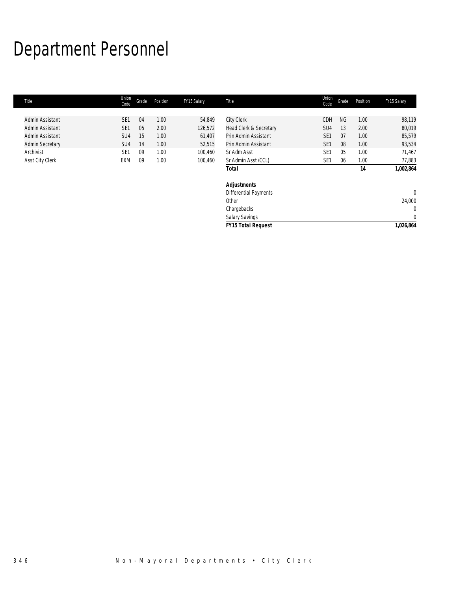# Department Personnel

| Title                  | Union<br>Code   | Grade | Position | FY15 Salary | Title                        | Union<br>Code   | Grade     | Position | FY15 Salary |
|------------------------|-----------------|-------|----------|-------------|------------------------------|-----------------|-----------|----------|-------------|
|                        |                 |       |          |             |                              |                 |           |          |             |
| Admin Assistant        | SE <sub>1</sub> | 04    | 1.00     | 54,849      | <b>City Clerk</b>            | <b>CDH</b>      | <b>NG</b> | 1.00     | 98,119      |
| Admin Assistant        | SE <sub>1</sub> | 05    | 2.00     | 126,572     | Head Clerk & Secretary       | SU <sub>4</sub> | 13        | 2.00     | 80,019      |
| Admin Assistant        | SU <sub>4</sub> | 15    | 1.00     | 61,407      | Prin Admin Assistant         | SE <sub>1</sub> | 07        | 1.00     | 85,579      |
| <b>Admin Secretary</b> | SU <sub>4</sub> | 14    | 1.00     | 52,515      | Prin Admin Assistant         | SE <sub>1</sub> | 08        | 1.00     | 93,534      |
| Archivist              | SE <sub>1</sub> | 09    | 1.00     | 100,460     | Sr Adm Asst                  | SE <sub>1</sub> | 05        | 1.00     | 71,467      |
| Asst City Clerk        | EXM             | 09    | 1.00     | 100,460     | Sr Admin Asst (CCL)          | SE <sub>1</sub> | 06        | 1.00     | 77,883      |
|                        |                 |       |          |             | <b>Total</b>                 |                 |           | 14       | 1,002,864   |
|                        |                 |       |          |             | <b>Adjustments</b>           |                 |           |          |             |
|                        |                 |       |          |             | <b>Differential Payments</b> |                 |           |          | $\Omega$    |
|                        |                 |       |          |             | Other                        |                 |           |          | 24,000      |
|                        |                 |       |          |             | Chargebacks                  |                 |           |          | 0           |
|                        |                 |       |          |             | Salary Savings               |                 |           |          | $\mathbf 0$ |
|                        |                 |       |          |             | <b>FY15 Total Request</b>    |                 |           |          | 1,026,864   |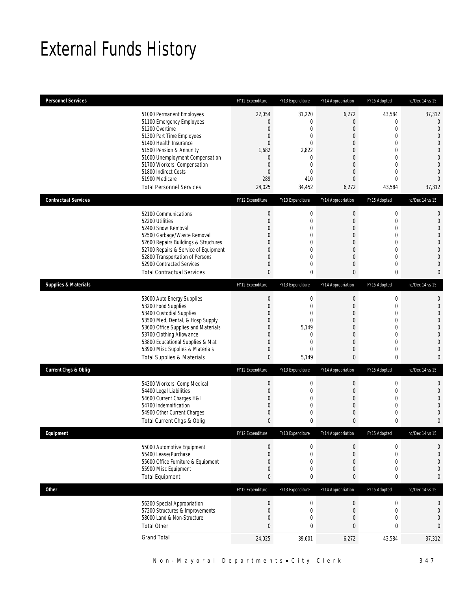# External Funds History

| <b>Personnel Services</b>       |                                                                                                                                                                                                                                                                                                            | FY12 Expenditure                                                                                                              | FY13 Expenditure                                                                                   | FY14 Appropriation                                                                                                                                    | FY15 Adopted                                                                                                                                                     | Inc/Dec 14 vs 15                                                                                                                                                     |
|---------------------------------|------------------------------------------------------------------------------------------------------------------------------------------------------------------------------------------------------------------------------------------------------------------------------------------------------------|-------------------------------------------------------------------------------------------------------------------------------|----------------------------------------------------------------------------------------------------|-------------------------------------------------------------------------------------------------------------------------------------------------------|------------------------------------------------------------------------------------------------------------------------------------------------------------------|----------------------------------------------------------------------------------------------------------------------------------------------------------------------|
|                                 | 51000 Permanent Employees<br>51100 Emergency Employees<br>51200 Overtime<br>51300 Part Time Employees<br>51400 Health Insurance<br>51500 Pension & Annunity<br>51600 Unemployment Compensation<br>51700 Workers' Compensation<br>51800 Indirect Costs<br>51900 Medicare<br><b>Total Personnel Services</b> | 22,054<br>0<br>$\mathbf 0$<br>$\boldsymbol{0}$<br>0<br>1,682<br>$\overline{0}$<br>$\mathbf 0$<br>$\mathbf 0$<br>289<br>24,025 | 31,220<br>$\mathbf 0$<br>0<br>0<br>$\mathbf 0$<br>2,822<br>$\mathbf{0}$<br>0<br>0<br>410<br>34,452 | 6,272<br>0<br>0<br>$\overline{0}$<br>0<br>0<br>$\overline{0}$<br>$\mathbf 0$<br>$\overline{0}$<br>$\overline{0}$<br>6,272                             | 43,584<br>$\mathbf 0$<br>$\mathbf 0$<br>$\overline{0}$<br>$\mathbf{0}$<br>$\overline{0}$<br>$\mathbf 0$<br>$\mathbf{0}$<br>$\mathbf{0}$<br>$\mathbf 0$<br>43,584 | 37,312<br>$\theta$<br>$\overline{0}$<br>$\overline{0}$<br>$\overline{0}$<br>$\overline{0}$<br>$\mathbf{0}$<br>$\overline{0}$<br>$\overline{0}$<br>$\Omega$<br>37,312 |
| <b>Contractual Services</b>     |                                                                                                                                                                                                                                                                                                            | FY12 Expenditure                                                                                                              | FY13 Expenditure                                                                                   | FY14 Appropriation                                                                                                                                    | FY15 Adopted                                                                                                                                                     | Inc/Dec 14 vs 15                                                                                                                                                     |
|                                 | 52100 Communications<br>52200 Utilities<br>52400 Snow Removal<br>52500 Garbage/Waste Removal<br>52600 Repairs Buildings & Structures<br>52700 Repairs & Service of Equipment<br>52800 Transportation of Persons<br>52900 Contracted Services<br><b>Total Contractual Services</b>                          | $\boldsymbol{0}$<br>$\boldsymbol{0}$<br>0<br>0<br>0<br>0<br>0<br>0<br>0                                                       | $\boldsymbol{0}$<br>$\boldsymbol{0}$<br>0<br>$\boldsymbol{0}$<br>0<br>0<br>$\mathbf 0$<br>0<br>0   | $\boldsymbol{0}$<br>$\mathbf 0$<br>$\overline{0}$<br>$\mathbf 0$<br>$\mathbf{0}$<br>$\mathbf 0$<br>$\overline{0}$<br>$\mathbf 0$<br>0                 | $\boldsymbol{0}$<br>$\mathbf 0$<br>$\mathbf{0}$<br>$\mathbf 0$<br>$\mathbf 0$<br>$\mathbf{0}$<br>$\mathbf{0}$<br>$\mathbf{0}$<br>0                               | 0<br>$\mathbf{0}$<br>$\overline{0}$<br>$\Omega$<br>$\mathbf{0}$<br>$\overline{0}$<br>$\overline{0}$<br>$\mathbf{0}$<br>$\bf{0}$                                      |
| <b>Supplies &amp; Materials</b> |                                                                                                                                                                                                                                                                                                            | FY12 Expenditure                                                                                                              | FY13 Expenditure                                                                                   | FY14 Appropriation                                                                                                                                    | FY15 Adopted                                                                                                                                                     | Inc/Dec 14 vs 15                                                                                                                                                     |
|                                 | 53000 Auto Energy Supplies<br>53200 Food Supplies<br>53400 Custodial Supplies<br>53500 Med, Dental, & Hosp Supply<br>53600 Office Supplies and Materials<br>53700 Clothing Allowance<br>53800 Educational Supplies & Mat<br>53900 Misc Supplies & Materials<br><b>Total Supplies &amp; Materials</b>       | $\boldsymbol{0}$<br>$\boldsymbol{0}$<br>0<br>0<br>0<br>0<br>0<br>0<br>0                                                       | 0<br>$\boldsymbol{0}$<br>0<br>0<br>5,149<br>0<br>0<br>0<br>5,149                                   | $\mathbf 0$<br>$\mathbf 0$<br>$\overline{0}$<br>$\overline{0}$<br>$\overline{0}$<br>$\overline{0}$<br>$\boldsymbol{0}$<br>$\mathbf 0$<br>$\mathbf{0}$ | $\mathbf 0$<br>$\mathbf 0$<br>$\mathbf{0}$<br>0<br>$\overline{0}$<br>$\mathbf{0}$<br>$\mathbf{0}$<br>$\mathbf{0}$<br>0                                           | 0<br>$\mathbf{0}$<br>$\overline{0}$<br>$\overline{0}$<br>$\mathbf{0}$<br>$\overline{0}$<br>$\overline{0}$<br>$\overline{0}$<br>$\mathbf{0}$                          |
| <b>Current Chgs &amp; Oblig</b> |                                                                                                                                                                                                                                                                                                            | FY12 Expenditure                                                                                                              | FY13 Expenditure                                                                                   | FY14 Appropriation                                                                                                                                    | FY15 Adopted                                                                                                                                                     | Inc/Dec 14 vs 15                                                                                                                                                     |
|                                 | 54300 Workers' Comp Medical<br>54400 Legal Liabilities<br>54600 Current Charges H&I<br>54700 Indemnification<br>54900 Other Current Charges<br>Total Current Chgs & Oblig                                                                                                                                  | $\boldsymbol{0}$<br>$\boldsymbol{0}$<br>0<br>0<br>0<br>0                                                                      | $\boldsymbol{0}$<br>$\boldsymbol{0}$<br>0<br>0<br>$\boldsymbol{0}$<br>0                            | $\boldsymbol{0}$<br>$\mathbf 0$<br>$\overline{0}$<br>$\mathbf 0$<br>$\mathbf 0$<br>$\mathbf{0}$                                                       | $\mathbf 0$<br>$\mathbf 0$<br>$\mathbf{0}$<br>$\mathbf{0}$<br>0<br>0                                                                                             | $\mathbf{0}$<br>$\mathbf{0}$<br>$\overline{0}$<br>$\Omega$<br>$\mathbf{0}$<br>$\bf{0}$                                                                               |
| Equipment                       |                                                                                                                                                                                                                                                                                                            | FY12 Expenditure                                                                                                              | FY13 Expenditure                                                                                   | FY14 Appropriation                                                                                                                                    | FY15 Adopted                                                                                                                                                     | Inc/Dec 14 vs 15                                                                                                                                                     |
|                                 | 55000 Automotive Equipment<br>55400 Lease/Purchase<br>55600 Office Furniture & Equipment<br>55900 Misc Equipment<br><b>Total Equipment</b>                                                                                                                                                                 | $\boldsymbol{0}$<br>$\boldsymbol{0}$<br>0<br>0<br>0                                                                           | $\boldsymbol{0}$<br>$\boldsymbol{0}$<br>$\boldsymbol{0}$<br>0<br>0                                 | $\boldsymbol{0}$<br>$\mathbf 0$<br>0<br>0<br>0                                                                                                        | $\boldsymbol{0}$<br>$\mathbf 0$<br>$\mathbf{0}$<br>$\boldsymbol{0}$<br>0                                                                                         | $\mathbf{0}$<br>$\mathbf{0}$<br>$\mathbf{0}$<br>$\mathbf{0}$<br>$\bf{0}$                                                                                             |
| <b>Other</b>                    |                                                                                                                                                                                                                                                                                                            | FY12 Expenditure                                                                                                              | FY13 Expenditure                                                                                   | FY14 Appropriation                                                                                                                                    | FY15 Adopted                                                                                                                                                     | Inc/Dec 14 vs 15                                                                                                                                                     |
|                                 | 56200 Special Appropriation<br>57200 Structures & Improvements<br>58000 Land & Non-Structure<br><b>Total Other</b>                                                                                                                                                                                         | $\boldsymbol{0}$<br>$\boldsymbol{0}$<br>0<br>$\mathbf{0}$                                                                     | $\boldsymbol{0}$<br>$\boldsymbol{0}$<br>$\boldsymbol{0}$<br>0                                      | $\boldsymbol{0}$<br>$\mathbf 0$<br>0<br>$\bf 0$                                                                                                       | $\boldsymbol{0}$<br>$\mathbf 0$<br>$\mathbf 0$<br>0                                                                                                              | $\boldsymbol{0}$<br>$\boldsymbol{0}$<br>$\mathbf{0}$<br>0                                                                                                            |
|                                 | <b>Grand Total</b>                                                                                                                                                                                                                                                                                         | 24,025                                                                                                                        | 39,601                                                                                             | 6,272                                                                                                                                                 | 43,584                                                                                                                                                           | 37,312                                                                                                                                                               |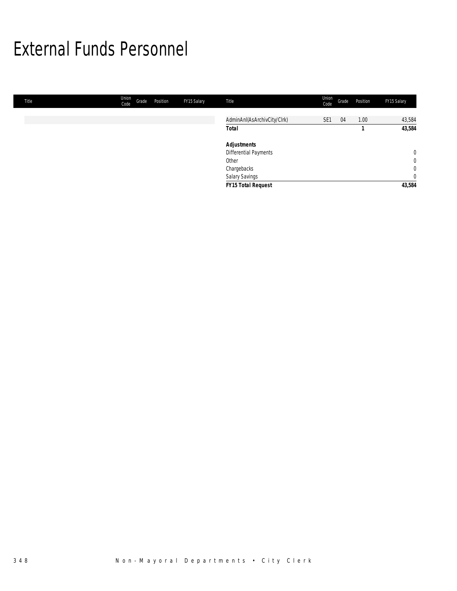# External Funds Personnel

| Title | Union<br>Code | Grade | Position | FY15 Salary | Title                       | Union<br>Code   | Grade | Position | FY15 Salary    |
|-------|---------------|-------|----------|-------------|-----------------------------|-----------------|-------|----------|----------------|
|       |               |       |          |             |                             |                 |       |          |                |
|       |               |       |          |             | AdminAnI(AsArchivCity/Clrk) | SE <sub>1</sub> | 04    | 1.00     | 43,584         |
|       |               |       |          |             | <b>Total</b>                |                 |       |          | 43,584         |
|       |               |       |          |             | <b>Adjustments</b>          |                 |       |          |                |
|       |               |       |          |             | Differential Payments       |                 |       |          | $\overline{0}$ |
|       |               |       |          |             | Other                       |                 |       |          | $\overline{0}$ |
|       |               |       |          |             | Chargebacks                 |                 |       |          | $\overline{0}$ |
|       |               |       |          |             | Salary Savings              |                 |       |          | $\overline{0}$ |
|       |               |       |          |             | FY15 Total Request          |                 |       |          | 43,584         |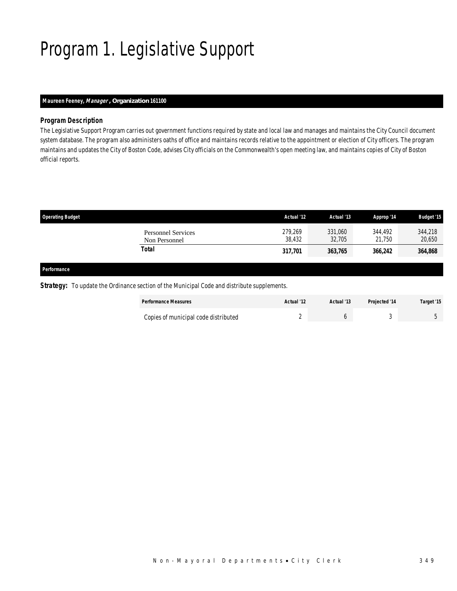# Program 1. Legislative Support

# *Maureen Feeney, Manager , Organization 161100*

### *Program Description*

The Legislative Support Program carries out government functions required by state and local law and manages and maintains the City Council document system database. The program also administers oaths of office and maintains records relative to the appointment or election of City officers. The program maintains and updates the City of Boston Code, advises City officials on the Commonwealth's open meeting law, and maintains copies of City of Boston official reports.

| <b>Operating Budget</b>                    | Actual '12        | Actual '13        | Approp '14        | <b>Budget '15</b> |
|--------------------------------------------|-------------------|-------------------|-------------------|-------------------|
| <b>Personnel Services</b><br>Non Personnel | 279,269<br>38,432 | 331,060<br>32,705 | 344.492<br>21,750 | 344,218<br>20,650 |
| Total                                      | 317,701           | 363,765           | 366,242           | 364,868           |
|                                            |                   |                   |                   |                   |

#### *Performance*

**Strategy:** To update the Ordinance section of the Municipal Code and distribute supplements.

| <b>Performance Measures</b>          | Actual '12 | Actual '13 | <b>Projected '14</b> | Target '15 |
|--------------------------------------|------------|------------|----------------------|------------|
| Copies of municipal code distributed |            |            |                      |            |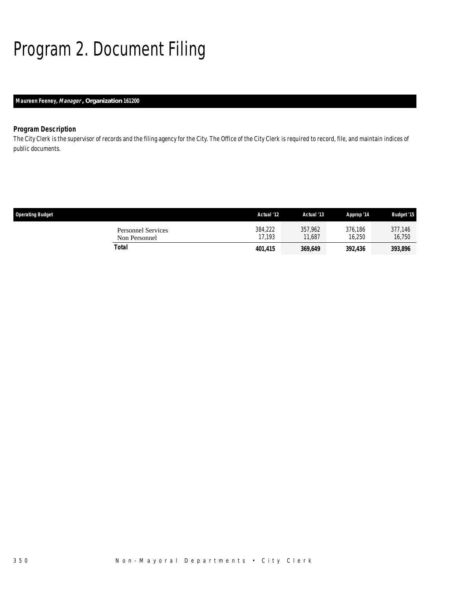# Program 2. Document Filing

# *Maureen Feeney, Manager , Organization 161200*

# *Program Description*

The City Clerk is the supervisor of records and the filing agency for the City. The Office of the City Clerk is required to record, file, and maintain indices of public documents.

| <b>Operating Budget</b> |                                            | Actual '12        | Actual '13        | Approp '14        | <b>Budget '15</b> |
|-------------------------|--------------------------------------------|-------------------|-------------------|-------------------|-------------------|
|                         | <b>Personnel Services</b><br>Non Personnel | 384,222<br>17.193 | 357.962<br>11.687 | 376.186<br>16,250 | 377.146<br>16,750 |
|                         | Total                                      | 401,415           | 369,649           | 392,436           | 393,896           |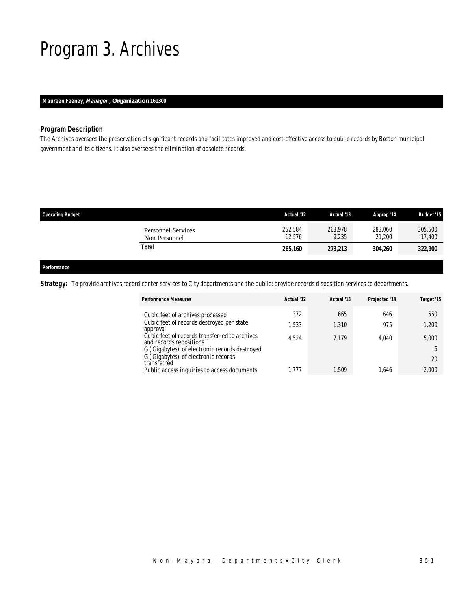# Program 3. Archives

### *Maureen Feeney, Manager , Organization 161300*

### *Program Description*

The Archives oversees the preservation of significant records and facilitates improved and cost-effective access to public records by Boston municipal government and its citizens. It also oversees the elimination of obsolete records.

| <b>Operating Budget</b>                    | Actual '12        | Actual '13       | Approp '14        | <b>Budget '15</b> |
|--------------------------------------------|-------------------|------------------|-------------------|-------------------|
| <b>Personnel Services</b><br>Non Personnel | 252.584<br>12,576 | 263.978<br>9,235 | 283,060<br>21,200 | 305,500<br>17,400 |
| Total                                      | 265,160           | 273,213          | 304,260           | 322,900           |
|                                            |                   |                  |                   |                   |

### *Performance*

**Strategy:** To provide archives record center services to City departments and the public; provide records disposition services to departments.

| <b>Performance Measures</b>                                              | Actual '12 | Actual '13 | Projected '14 | Target '15 |
|--------------------------------------------------------------------------|------------|------------|---------------|------------|
| Cubic feet of archives processed                                         | 372        | 665        | 646           | 550        |
| Cubic feet of records destroyed per state<br>approval                    | ,533       | 1,310      | 975           | 1,200      |
| Cubic feet of records transferred to archives<br>and records repositions | 4.524      | 7.179      | 4.040         | 5,000      |
| G (Gigabytes) of electronic records destroyed                            |            |            |               |            |
| G (Gigabytes) of electronic records<br>transferred                       |            |            |               | 20         |
| Public access inquiries to access documents                              | 1.777      | 1,509      | 1.646         | 2,000      |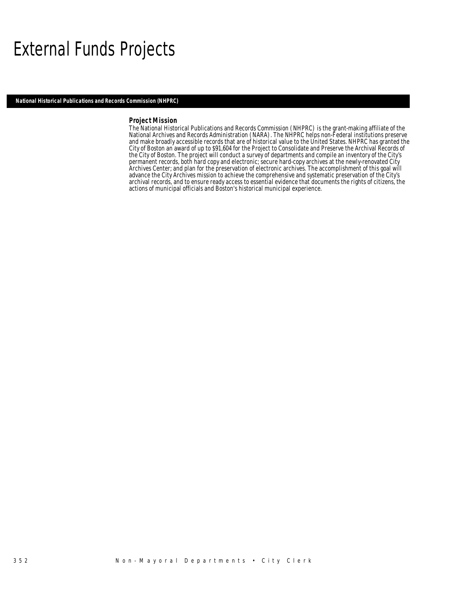# External Funds Projects

*National Historical Publications and Records Commission (NHPRC)* 

#### *Project Mission*

The National Historical Publications and Records Commission (NHPRC) is the grant-making affiliate of the National Archives and Records Administration (NARA). The NHPRC helps non-Federal institutions preserve and make broadly accessible records that are of historical value to the United States. NHPRC has granted the City of Boston an award of up to \$91,604 for the Project to Consolidate and Preserve the Archival Records of the City of Boston. The project will conduct a survey of departments and compile an inventory of the City's permanent records, both hard copy and electronic; secure hard-copy archives at the newly-renovated City Archives Center; and plan for the preservation of electronic archives. The accomplishment of this goal will advance the City Archives mission to achieve the comprehensive and systematic preservation of the City's archival records, and to ensure ready access to essential evidence that documents the rights of citizens, the actions of municipal officials and Boston's historical municipal experience.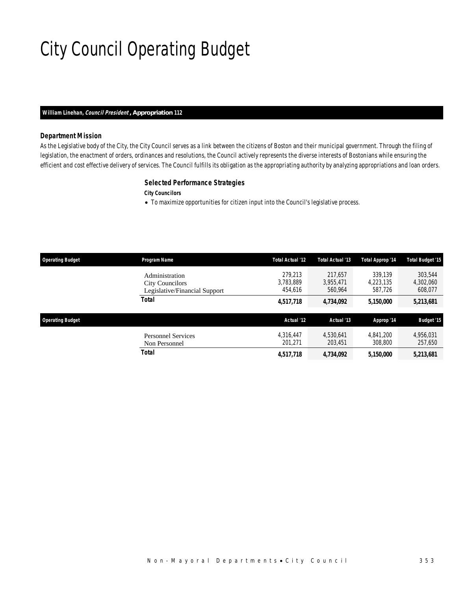# City Council Operating Budget

### *William Linehan, Council President , Appropriation 112*

### *Department Mission*

As the Legislative body of the City, the City Council serves as a link between the citizens of Boston and their municipal government. Through the filing of legislation, the enactment of orders, ordinances and resolutions, the Council actively represents the diverse interests of Bostonians while ensuring the efficient and cost effective delivery of services. The Council fulfills its obligation as the appropriating authority by analyzing appropriations and loan orders.

#### *Selected Performance Strategies*

*City Councilors* 

• To maximize opportunities for citizen input into the Council's legislative process.

| <b>Operating Budget</b> | Program Name                                                              | Total Actual '12                | Total Actual '13                | Total Approp '14                | <b>Total Budget '15</b>         |
|-------------------------|---------------------------------------------------------------------------|---------------------------------|---------------------------------|---------------------------------|---------------------------------|
|                         | Administration<br><b>City Councilors</b><br>Legislative/Financial Support | 279.213<br>3,783,889<br>454.616 | 217.657<br>3,955,471<br>560.964 | 339.139<br>4,223,135<br>587.726 | 303,544<br>4,302,060<br>608,077 |
|                         | Total                                                                     | 4,517,718                       | 4,734,092                       | 5,150,000                       | 5,213,681                       |
|                         |                                                                           |                                 |                                 |                                 |                                 |
| <b>Operating Budget</b> |                                                                           | Actual '12                      | Actual '13                      | Approp '14                      | <b>Budget '15</b>               |
|                         | <b>Personnel Services</b><br>Non Personnel                                | 4.316.447<br>201.271            | 4.530.641<br>203,451            | 4.841.200<br>308,800            | 4,956,031<br>257,650            |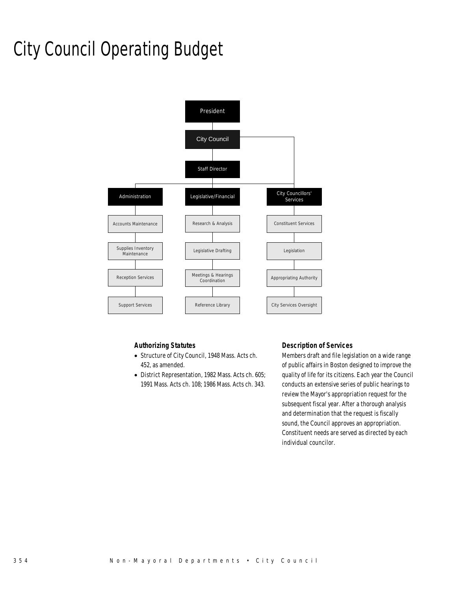# City Council Operating Budget



# *Authorizing Statutes*

- Structure of City Council, 1948 Mass. Acts ch. 452, as amended.
- District Representation, 1982 Mass. Acts ch. 605; 1991 Mass. Acts ch. 108; 1986 Mass. Acts ch. 343.

### *Description of Services*

Members draft and file legislation on a wide range of public affairs in Boston designed to improve the quality of life for its citizens. Each year the Council conducts an extensive series of public hearings to review the Mayor's appropriation request for the subsequent fiscal year. After a thorough analysis and determination that the request is fiscally sound, the Council approves an appropriation. Constituent needs are served as directed by each individual councilor.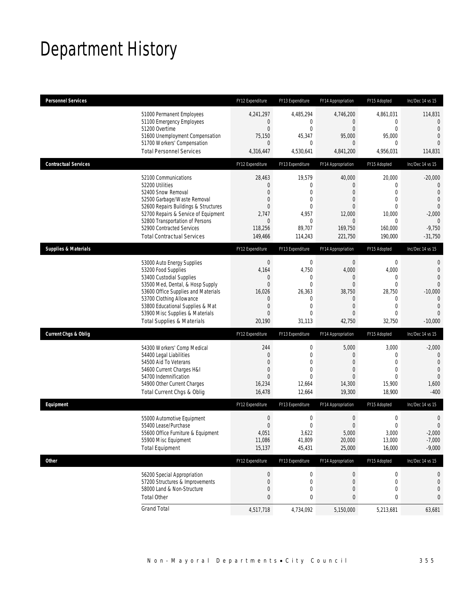# Department History

| <b>Personnel Services</b>       |                                                                                                                                                                                                                                                                                                      | FY12 Expenditure                                                                                        | FY13 Expenditure                                                                                                    | FY14 Appropriation                                                                                                           | FY15 Adopted                                                                                             | Inc/Dec 14 vs 15                                                                                                                   |
|---------------------------------|------------------------------------------------------------------------------------------------------------------------------------------------------------------------------------------------------------------------------------------------------------------------------------------------------|---------------------------------------------------------------------------------------------------------|---------------------------------------------------------------------------------------------------------------------|------------------------------------------------------------------------------------------------------------------------------|----------------------------------------------------------------------------------------------------------|------------------------------------------------------------------------------------------------------------------------------------|
|                                 | 51000 Permanent Employees<br>51100 Emergency Employees<br>51200 Overtime                                                                                                                                                                                                                             | 4,241,297<br>$\overline{0}$<br>$\boldsymbol{0}$                                                         | 4,485,294<br>0<br>$\mathbf{0}$                                                                                      | 4,746,200<br>$\mathbf{0}$<br>$\overline{0}$                                                                                  | 4,861,031<br>0<br>$\overline{0}$                                                                         | 114,831<br>$\mathbf{0}$<br>$\mathbf{0}$                                                                                            |
|                                 | 51600 Unemployment Compensation<br>51700 Workers' Compensation                                                                                                                                                                                                                                       | 75,150<br>$\overline{0}$                                                                                | 45,347<br>$\mathbf{0}$                                                                                              | 95,000<br>$\overline{0}$                                                                                                     | 95,000<br>0                                                                                              | $\overline{0}$<br>$\Omega$                                                                                                         |
|                                 | <b>Total Personnel Services</b>                                                                                                                                                                                                                                                                      | 4,316,447                                                                                               | 4,530,641                                                                                                           | 4,841,200                                                                                                                    | 4,956,031                                                                                                | 114,831                                                                                                                            |
| <b>Contractual Services</b>     |                                                                                                                                                                                                                                                                                                      | FY12 Expenditure                                                                                        | FY13 Expenditure                                                                                                    | FY14 Appropriation                                                                                                           | FY15 Adopted                                                                                             | Inc/Dec 14 vs 15                                                                                                                   |
|                                 | 52100 Communications<br>52200 Utilities<br>52400 Snow Removal<br>52500 Garbage/Waste Removal<br>52600 Repairs Buildings & Structures<br>52700 Repairs & Service of Equipment<br>52800 Transportation of Persons<br>52900 Contracted Services<br><b>Total Contractual Services</b>                    | 28,463<br>0<br>$\overline{0}$<br>0<br>$\overline{0}$<br>2,747<br>$\boldsymbol{0}$<br>118,256<br>149,466 | 19,579<br>$\mathbf{0}$<br>$\mathbf{0}$<br>$\mathbf{0}$<br>$\mathbf{0}$<br>4,957<br>$\mathbf 0$<br>89,707<br>114,243 | 40,000<br>$\theta$<br>$\theta$<br>$\overline{0}$<br>$\Omega$<br>12,000<br>$\mathbf{0}$<br>169,750<br>221,750                 | 20,000<br>0<br>$\overline{0}$<br>$\mathbf{0}$<br>$\Omega$<br>10,000<br>0<br>160,000<br>190,000           | $-20,000$<br>$\mathbf{0}$<br>$\mathbf{0}$<br>$\overline{0}$<br>$\overline{0}$<br>$-2,000$<br>$\mathbf{0}$<br>$-9,750$<br>$-31,750$ |
| <b>Supplies &amp; Materials</b> |                                                                                                                                                                                                                                                                                                      | FY12 Expenditure                                                                                        | FY13 Expenditure                                                                                                    | FY14 Appropriation                                                                                                           | FY15 Adopted                                                                                             | Inc/Dec 14 vs 15                                                                                                                   |
|                                 | 53000 Auto Energy Supplies<br>53200 Food Supplies<br>53400 Custodial Supplies<br>53500 Med, Dental, & Hosp Supply<br>53600 Office Supplies and Materials<br>53700 Clothing Allowance<br>53800 Educational Supplies & Mat<br>53900 Misc Supplies & Materials<br><b>Total Supplies &amp; Materials</b> | $\boldsymbol{0}$<br>4,164<br>0<br>$\mathbf{0}$<br>16,026<br>0<br>0<br>$\Omega$<br>20,190                | $\mathbf 0$<br>4,750<br>0<br>$\mathbf{0}$<br>26,363<br>$\mathbf 0$<br>$\mathbf{0}$<br>$\Omega$<br>31,113            | $\mathbf 0$<br>4,000<br>$\overline{0}$<br>$\overline{0}$<br>38,750<br>$\theta$<br>$\overline{0}$<br>$\overline{0}$<br>42,750 | $\mathbf 0$<br>4,000<br>0<br>$\overline{0}$<br>28,750<br>0<br>$\overline{0}$<br>$\overline{0}$<br>32,750 | 0<br>$\mathbf{0}$<br>$\overline{0}$<br>$\Omega$<br>$-10,000$<br>$\Omega$<br>$\overline{0}$<br>$\Omega$<br>$-10,000$                |
| <b>Current Chgs &amp; Oblig</b> |                                                                                                                                                                                                                                                                                                      | FY12 Expenditure                                                                                        | FY13 Expenditure                                                                                                    | FY14 Appropriation                                                                                                           | FY15 Adopted                                                                                             | Inc/Dec 14 vs 15                                                                                                                   |
|                                 | 54300 Workers' Comp Medical<br>54400 Legal Liabilities<br>54500 Aid To Veterans<br>54600 Current Charges H&I<br>54700 Indemnification<br>54900 Other Current Charges<br>Total Current Chgs & Oblig                                                                                                   | 244<br>$\mathbf 0$<br>0<br>0<br>$\Omega$<br>16,234<br>16,478                                            | 0<br>$\mathbf 0$<br>$\mathbf{0}$<br>$\mathbf{0}$<br>$\Omega$<br>12,664<br>12,664                                    | 5,000<br>$\theta$<br>$\theta$<br>$\overline{0}$<br>$\Omega$<br>14,300<br>19,300                                              | 3,000<br>0<br>$\overline{0}$<br>$\overline{0}$<br>$\Omega$<br>15,900<br>18,900                           | $-2,000$<br>$\theta$<br>$\mathbf{0}$<br>$\overline{0}$<br>$\overline{0}$<br>1,600<br>$-400$                                        |
| Equipment                       |                                                                                                                                                                                                                                                                                                      | FY12 Expenditure                                                                                        | FY13 Expenditure                                                                                                    | FY14 Appropriation                                                                                                           | FY15 Adopted                                                                                             | Inc/Dec 14 vs 15                                                                                                                   |
|                                 | 55000 Automotive Equipment<br>55400 Lease/Purchase<br>55600 Office Furniture & Equipment<br>55900 Misc Equipment<br><b>Total Equipment</b>                                                                                                                                                           | $\boldsymbol{0}$<br>$\Omega$<br>4,051<br>11,086<br>15,137                                               | 0<br>$\mathbf 0$<br>3,622<br>41,809<br>45,431                                                                       | $\boldsymbol{0}$<br>$\mathbf{0}$<br>5,000<br>20,000<br>25,000                                                                | $\mathbf 0$<br>$\mathbf 0$<br>3,000<br>13,000<br>16,000                                                  | $\mathbf 0$<br>$\overline{0}$<br>$-2,000$<br>$-7,000$<br>$-9,000$                                                                  |
| Other                           |                                                                                                                                                                                                                                                                                                      | FY12 Expenditure                                                                                        | FY13 Expenditure                                                                                                    | FY14 Appropriation                                                                                                           | FY15 Adopted                                                                                             | Inc/Dec 14 vs 15                                                                                                                   |
|                                 | 56200 Special Appropriation<br>57200 Structures & Improvements<br>58000 Land & Non-Structure<br><b>Total Other</b>                                                                                                                                                                                   | $\boldsymbol{0}$<br>$\boldsymbol{0}$<br>$\mathbf 0$<br>0                                                | 0<br>0<br>$\mathbf 0$<br>0                                                                                          | $\boldsymbol{0}$<br>$\mathbf 0$<br>$\theta$<br>0                                                                             | 0<br>0<br>0<br>0                                                                                         | 0<br>0<br>$\mathbf 0$<br>0                                                                                                         |
|                                 | <b>Grand Total</b>                                                                                                                                                                                                                                                                                   | 4,517,718                                                                                               | 4,734,092                                                                                                           | 5,150,000                                                                                                                    | 5,213,681                                                                                                | 63,681                                                                                                                             |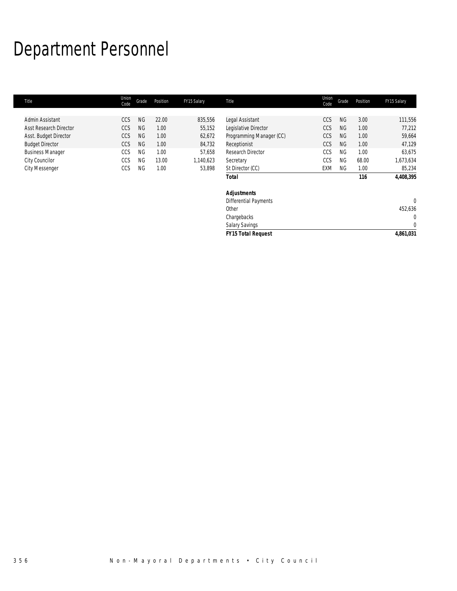# Department Personnel

| Title                         | Union<br>Code | Grade     | Position | FY15 Salary | Title                     | Union<br>Code | Grade     | Position | FY15 Salary  |
|-------------------------------|---------------|-----------|----------|-------------|---------------------------|---------------|-----------|----------|--------------|
|                               |               |           |          |             |                           |               |           |          |              |
| Admin Assistant               | CCS           | <b>NG</b> | 22.00    | 835,556     | Legal Assistant           | CCS           | <b>NG</b> | 3.00     | 111,556      |
| <b>Asst Research Director</b> | CCS           | <b>NG</b> | 1.00     | 55,152      | Legislative Director      | CCS           | <b>NG</b> | 1.00     | 77,212       |
| Asst. Budget Director         | CCS           | <b>NG</b> | 1.00     | 62,672      | Programming Manager (CC)  | CCS           | <b>NG</b> | 1.00     | 59,664       |
| <b>Budget Director</b>        | CCS           | <b>NG</b> | 1.00     | 84,732      | Receptionist              | <b>CCS</b>    | <b>NG</b> | 1.00     | 47,129       |
| <b>Business Manager</b>       | CCS           | <b>NG</b> | 1.00     | 57,658      | Research Director         | CCS           | <b>NG</b> | 1.00     | 63,675       |
| City Councilor                | CCS           | ΝG        | 13.00    | 1,140,623   | Secretary                 | CCS           | <b>NG</b> | 68.00    | 1,673,634    |
| <b>City Messenger</b>         | CCS           | ΝG        | 1.00     | 53,898      | St Director (CC)          | EXM           | NG.       | 1.00     | 85,234       |
|                               |               |           |          |             | <b>Total</b>              |               |           | 116      | 4,408,395    |
|                               |               |           |          |             | <b>Adjustments</b>        |               |           |          |              |
|                               |               |           |          |             | Differential Payments     |               |           |          | $\mathbf{0}$ |
|                               |               |           |          |             | Other                     |               |           |          | 452,636      |
|                               |               |           |          |             | Chargebacks               |               |           |          | $\mathbf 0$  |
|                               |               |           |          |             | <b>Salary Savings</b>     |               |           |          | $\mathbf{0}$ |
|                               |               |           |          |             | <b>FY15 Total Request</b> |               |           |          | 4,861,031    |
|                               |               |           |          |             |                           |               |           |          |              |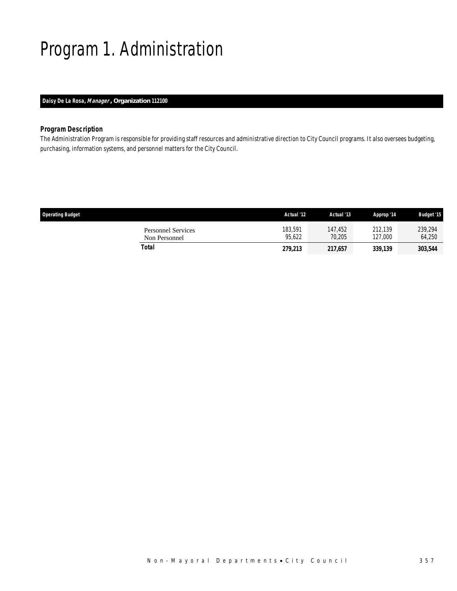# Program 1. Administration

# *Daisy De La Rosa, Manager , Organization 112100*

### *Program Description*

The Administration Program is responsible for providing staff resources and administrative direction to City Council programs. It also oversees budgeting, purchasing, information systems, and personnel matters for the City Council.

| <b>Operating Budget</b>                    | Actual '12        | Actual '13        | Approp '14         | <b>Budget '15</b> |
|--------------------------------------------|-------------------|-------------------|--------------------|-------------------|
| <b>Personnel Services</b><br>Non Personnel | 183,591<br>95.622 | 147.452<br>70.205 | 212.139<br>127.000 | 239,294<br>64,250 |
| Total                                      | 279,213           | 217,657           | 339,139            | 303,544           |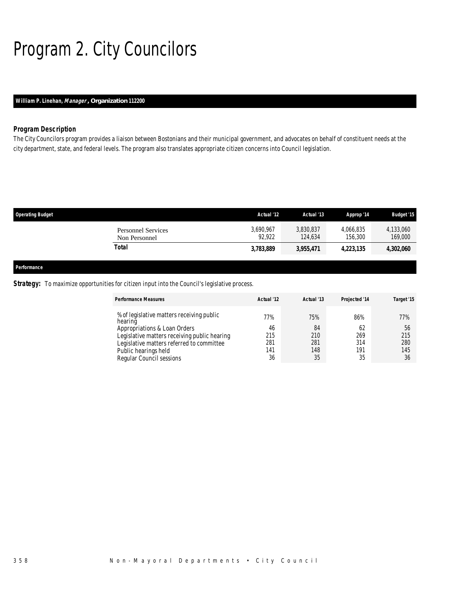# Program 2. City Councilors

# *William P. Linehan, Manager , Organization 112200*

# *Program Description*

The City Councilors program provides a liaison between Bostonians and their municipal government, and advocates on behalf of constituent needs at the city department, state, and federal levels. The program also translates appropriate citizen concerns into Council legislation.

| <b>Operating Budget</b> |                                            | Actual '12          | Actual '13           | Approp '14           | <b>Budget '15</b>    |
|-------------------------|--------------------------------------------|---------------------|----------------------|----------------------|----------------------|
|                         | <b>Personnel Services</b><br>Non Personnel | 3,690,967<br>92.922 | 3,830,837<br>124.634 | 4,066,835<br>156,300 | 4,133,060<br>169,000 |
|                         | <b>Total</b>                               | 3,783,889           | 3,955,471            | 4,223,135            | 4,302,060            |
|                         |                                            |                     |                      |                      |                      |
| Performance             |                                            |                     |                      |                      |                      |

### **Strategy:** To maximize opportunities for citizen input into the Council's legislative process.

| <b>Performance Measures</b>                                                                                                                                                                                                           | Actual '12                           | Actual '13                           | Projected '14                        | Target '15                           |
|---------------------------------------------------------------------------------------------------------------------------------------------------------------------------------------------------------------------------------------|--------------------------------------|--------------------------------------|--------------------------------------|--------------------------------------|
| % of legislative matters receiving public<br>hearing<br>Appropriations & Loan Orders<br>Legislative matters receiving public hearing<br>Legislative matters referred to committee<br>Public hearings held<br>Regular Council sessions | 77%<br>46<br>215<br>281<br>141<br>36 | 75%<br>84<br>210<br>281<br>148<br>35 | 86%<br>62<br>269<br>314<br>191<br>35 | 77%<br>56<br>215<br>280<br>145<br>36 |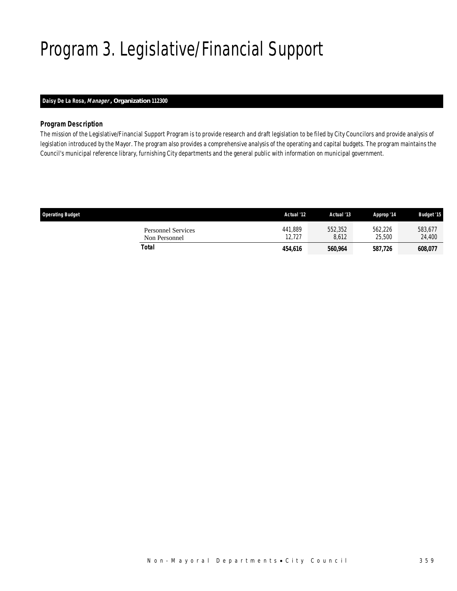# Program 3. Legislative/Financial Support

# *Daisy De La Rosa, Manager , Organization 112300*

### *Program Description*

The mission of the Legislative/Financial Support Program is to provide research and draft legislation to be filed by City Councilors and provide analysis of legislation introduced by the Mayor. The program also provides a comprehensive analysis of the operating and capital budgets. The program maintains the Council's municipal reference library, furnishing City departments and the general public with information on municipal government.

| <b>Operating Budget</b>                    | Actual '12        | Actual '13       | Approp '14        | <b>Budget '15</b> |
|--------------------------------------------|-------------------|------------------|-------------------|-------------------|
| <b>Personnel Services</b><br>Non Personnel | 441,889<br>12.727 | 552,352<br>8.612 | 562,226<br>25,500 | 583,677<br>24,400 |
| Total                                      | 454,616           | 560.964          | 587,726           | 608,077           |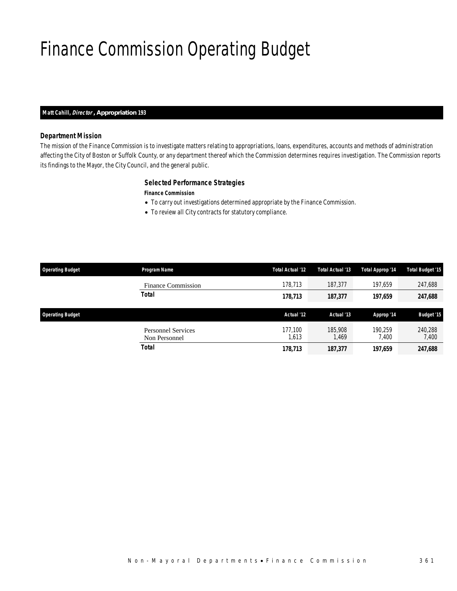# Finance Commission Operating Budget

### *Matt Cahill, Director , Appropriation 193*

### *Department Mission*

The mission of the Finance Commission is to investigate matters relating to appropriations, loans, expenditures, accounts and methods of administration affecting the City of Boston or Suffolk County, or any department thereof which the Commission determines requires investigation. The Commission reports its findings to the Mayor, the City Council, and the general public.

### *Selected Performance Strategies*

#### *Finance Commission*

- To carry out investigations determined appropriate by the Finance Commission.
- To review all City contracts for statutory compliance.

| <b>Operating Budget</b> | Program Name                               | Total Actual '12 | Total Actual '13 | Total Approp '14 | <b>Total Budget '15</b> |
|-------------------------|--------------------------------------------|------------------|------------------|------------------|-------------------------|
|                         | <b>Finance Commission</b>                  | 178,713          | 187,377          | 197.659          | 247,688                 |
|                         | <b>Total</b>                               | 178,713          | 187,377          | 197,659          | 247,688                 |
| <b>Operating Budget</b> |                                            | Actual '12       | Actual '13       | Approp '14       | <b>Budget '15</b>       |
|                         | <b>Personnel Services</b><br>Non Personnel | 177.100<br>1,613 | 185,908<br>1,469 | 190.259<br>7.400 | 240,288<br>7,400        |
|                         | Total                                      | 178,713          | 187,377          | 197,659          | 247,688                 |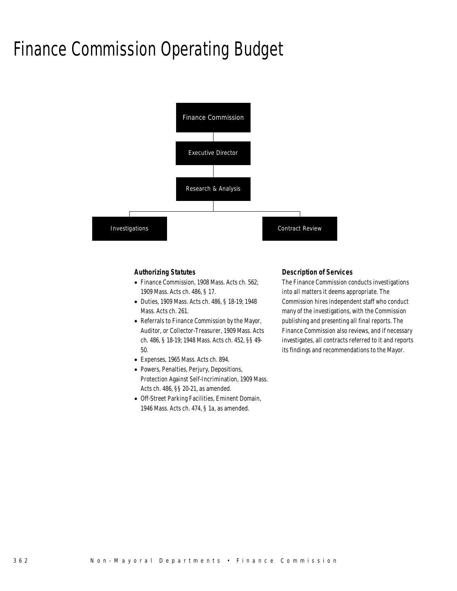# Finance Commission Operating Budget



#### *Authorizing Statutes*

- Finance Commission, 1908 Mass. Acts ch. 562; 1909 Mass. Acts ch. 486, § 17.
- Duties, 1909 Mass. Acts ch. 486, § 18-19; 1948 Mass. Acts ch. 261.
- Referrals to Finance Commission by the Mayor, Auditor, or Collector-Treasurer, 1909 Mass. Acts ch. 486, § 18-19; 1948 Mass. Acts ch. 452, §§ 49- 50.
- Expenses, 1965 Mass. Acts ch. 894.
- Powers, Penalties, Perjury, Depositions, Protection Against Self-Incrimination, 1909 Mass. Acts ch. 486, §§ 20-21, as amended.
- Off-Street Parking Facilities, Eminent Domain, 1946 Mass. Acts ch. 474, § 1a, as amended.

#### *Description of Services*

The Finance Commission conducts investigations into all matters it deems appropriate. The Commission hires independent staff who conduct many of the investigations, with the Commission publishing and presenting all final reports. The Finance Commission also reviews, and if necessary investigates, all contracts referred to it and reports its findings and recommendations to the Mayor.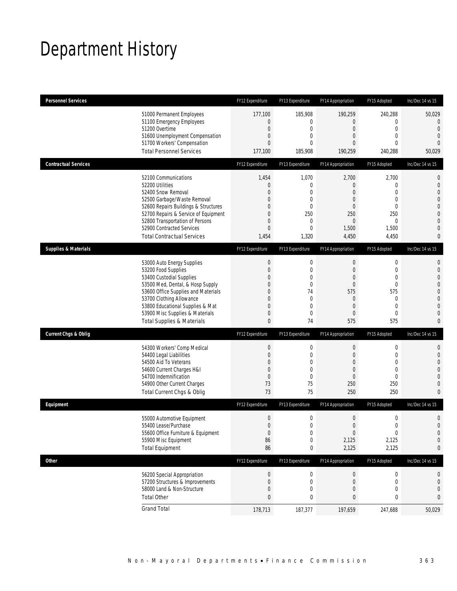# Department History

| <b>Personnel Services</b>       |                                                                                                                                                                                                                                                                                                      | FY12 Expenditure                                                                   | FY13 Expenditure                                                                           | FY14 Appropriation                                                                                                                       | FY15 Adopted                                                                                                               | Inc/Dec 14 vs 15                                                                                                                       |
|---------------------------------|------------------------------------------------------------------------------------------------------------------------------------------------------------------------------------------------------------------------------------------------------------------------------------------------------|------------------------------------------------------------------------------------|--------------------------------------------------------------------------------------------|------------------------------------------------------------------------------------------------------------------------------------------|----------------------------------------------------------------------------------------------------------------------------|----------------------------------------------------------------------------------------------------------------------------------------|
|                                 | 51000 Permanent Employees<br>51100 Emergency Employees<br>51200 Overtime<br>51600 Unemployment Compensation<br>51700 Workers' Compensation<br><b>Total Personnel Services</b>                                                                                                                        | 177,100<br>0<br>$\mathbf 0$<br>0<br>0<br>177,100                                   | 185,908<br>0<br>$\boldsymbol{0}$<br>0<br>0<br>185,908                                      | 190,259<br>0<br>$\boldsymbol{0}$<br>$\overline{0}$<br>$\overline{0}$<br>190,259                                                          | 240,288<br>0<br>$\mathbf 0$<br>$\mathbf{0}$<br>$\mathbf{0}$<br>240,288                                                     | 50,029<br>0<br>$\mathbf{0}$<br>$\mathbf{0}$<br>$\overline{0}$<br>50,029                                                                |
| <b>Contractual Services</b>     |                                                                                                                                                                                                                                                                                                      | FY12 Expenditure                                                                   | FY13 Expenditure                                                                           | FY14 Appropriation                                                                                                                       | FY15 Adopted                                                                                                               | Inc/Dec 14 vs 15                                                                                                                       |
|                                 | 52100 Communications<br>52200 Utilities<br>52400 Snow Removal<br>52500 Garbage/Waste Removal<br>52600 Repairs Buildings & Structures<br>52700 Repairs & Service of Equipment<br>52800 Transportation of Persons<br>52900 Contracted Services<br><b>Total Contractual Services</b>                    | 1,454<br>$\boldsymbol{0}$<br>0<br>0<br>0<br>0<br>0<br>0<br>1,454                   | 1,070<br>$\boldsymbol{0}$<br>0<br>0<br>$\overline{0}$<br>250<br>0<br>$\mathbf{0}$<br>1,320 | 2,700<br>0<br>$\overline{0}$<br>$\overline{0}$<br>$\overline{0}$<br>250<br>$\mathbf 0$<br>1,500<br>4,450                                 | 2,700<br>$\mathbf 0$<br>$\mathbf{0}$<br>$\mathbf{0}$<br>$\mathbf{0}$<br>250<br>$\mathbf 0$<br>1,500<br>4,450               | $\mathbf 0$<br>$\mathbf{0}$<br>$\overline{0}$<br>$\overline{0}$<br>$\mathbf 0$<br>$\overline{0}$<br>$\mathbf 0$<br>$\overline{0}$<br>0 |
| <b>Supplies &amp; Materials</b> |                                                                                                                                                                                                                                                                                                      | FY12 Expenditure                                                                   | FY13 Expenditure                                                                           | FY14 Appropriation                                                                                                                       | FY15 Adopted                                                                                                               | Inc/Dec 14 vs 15                                                                                                                       |
|                                 | 53000 Auto Energy Supplies<br>53200 Food Supplies<br>53400 Custodial Supplies<br>53500 Med, Dental, & Hosp Supply<br>53600 Office Supplies and Materials<br>53700 Clothing Allowance<br>53800 Educational Supplies & Mat<br>53900 Misc Supplies & Materials<br><b>Total Supplies &amp; Materials</b> | $\boldsymbol{0}$<br>$\boldsymbol{0}$<br>0<br>0<br>0<br>0<br>0<br>0<br>$\mathbf{0}$ | $\mathbf 0$<br>0<br>0<br>0<br>74<br>0<br>$\mathbf 0$<br>0<br>74                            | $\boldsymbol{0}$<br>$\boldsymbol{0}$<br>$\mathbf 0$<br>$\mathbf 0$<br>575<br>$\overline{0}$<br>$\boldsymbol{0}$<br>$\overline{0}$<br>575 | $\boldsymbol{0}$<br>$\mathbf 0$<br>$\mathbf{0}$<br>$\mathbf 0$<br>575<br>$\mathbf 0$<br>$\mathbf 0$<br>$\mathbf{0}$<br>575 | 0<br>$\mathbf 0$<br>$\mathbf{0}$<br>$\mathbf{0}$<br>$\mathbf 0$<br>$\overline{0}$<br>$\mathbf{0}$<br>$\overline{0}$<br>$\mathbf{0}$    |
| <b>Current Chgs &amp; Oblig</b> |                                                                                                                                                                                                                                                                                                      | FY12 Expenditure                                                                   | FY13 Expenditure                                                                           | FY14 Appropriation                                                                                                                       | FY15 Adopted                                                                                                               | Inc/Dec 14 vs 15                                                                                                                       |
|                                 | 54300 Workers' Comp Medical<br>54400 Legal Liabilities<br>54500 Aid To Veterans<br>54600 Current Charges H&I<br>54700 Indemnification<br>54900 Other Current Charges<br>Total Current Chgs & Oblig                                                                                                   | $\boldsymbol{0}$<br>$\mathbf 0$<br>0<br>0<br>$\mathbf 0$<br>73<br>73               | $\mathbf 0$<br>0<br>$\overline{0}$<br>0<br>$\mathbf{0}$<br>75<br>75                        | $\boldsymbol{0}$<br>$\overline{0}$<br>$\overline{0}$<br>$\overline{0}$<br>$\mathbf 0$<br>250<br>250                                      | $\boldsymbol{0}$<br>$\mathbf 0$<br>$\mathbf{0}$<br>$\mathbf{0}$<br>$\mathbf 0$<br>250<br>250                               | $\mathbf 0$<br>$\mathbf 0$<br>$\overline{0}$<br>$\overline{0}$<br>$\overline{0}$<br>$\mathbf{0}$<br>$\mathbf{0}$                       |
| Equipment                       |                                                                                                                                                                                                                                                                                                      | FY12 Expenditure                                                                   | FY13 Expenditure                                                                           | FY14 Appropriation                                                                                                                       | FY15 Adopted                                                                                                               | Inc/Dec 14 vs 15                                                                                                                       |
|                                 | 55000 Automotive Equipment<br>55400 Lease/Purchase<br>55600 Office Furniture & Equipment<br>55900 Misc Equipment<br><b>Total Equipment</b>                                                                                                                                                           | $\mathbf 0$<br>$\overline{0}$<br>$\theta$<br>86<br>86                              | 0<br>$\Omega$<br>$\boldsymbol{0}$<br>0<br>0                                                | $\boldsymbol{0}$<br>$\Omega$<br>$\boldsymbol{0}$<br>2,125<br>2,125                                                                       | $\boldsymbol{0}$<br>$\boldsymbol{0}$<br>$\boldsymbol{0}$<br>2,125<br>2,125                                                 | $\mathbf 0$<br>$\Omega$<br>$\mathbf 0$<br>$\mathbf 0$<br>0                                                                             |
| <b>Other</b>                    |                                                                                                                                                                                                                                                                                                      | FY12 Expenditure                                                                   | FY13 Expenditure                                                                           | FY14 Appropriation                                                                                                                       | FY15 Adopted                                                                                                               | Inc/Dec 14 vs 15                                                                                                                       |
|                                 | 56200 Special Appropriation<br>57200 Structures & Improvements<br>58000 Land & Non-Structure<br><b>Total Other</b>                                                                                                                                                                                   | $\boldsymbol{0}$<br>$\boldsymbol{0}$<br>0<br>$\bf{0}$                              | 0<br>$\boldsymbol{0}$<br>0<br>0                                                            | $\boldsymbol{0}$<br>$\boldsymbol{0}$<br>0<br>$\bf{0}$                                                                                    | 0<br>$\boldsymbol{0}$<br>$\mathbf 0$<br>$\pmb{0}$                                                                          | 0<br>$\mathbf 0$<br>0<br>0                                                                                                             |
|                                 | <b>Grand Total</b>                                                                                                                                                                                                                                                                                   | 178,713                                                                            | 187,377                                                                                    | 197,659                                                                                                                                  | 247,688                                                                                                                    | 50,029                                                                                                                                 |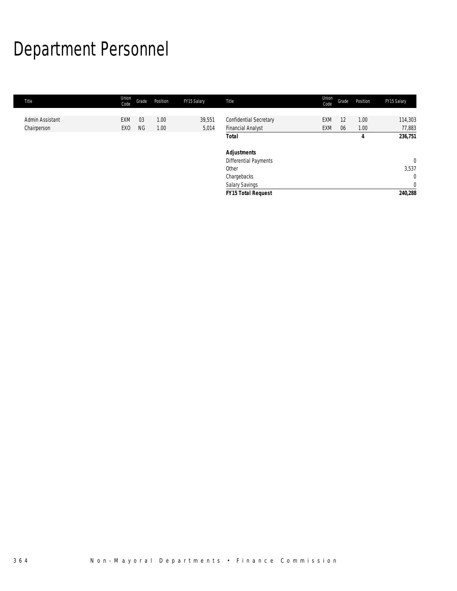# Department Personnel

| Title           | Union<br>Code   | Grade | Position | FY15 Salary | Title                     | Union<br>Code | Grade | Position | FY15 Salary    |
|-----------------|-----------------|-------|----------|-------------|---------------------------|---------------|-------|----------|----------------|
|                 |                 |       |          |             |                           |               |       |          |                |
| Admin Assistant | EXM             | 03    | 1.00     | 39,551      | Confidential Secretary    | EXM           | 12    | 1.00     | 114,303        |
| Chairperson     | EX <sub>0</sub> | ΝG    | 1.00     | 5,014       | <b>Financial Analyst</b>  | EXM           | 06    | 1.00     | 77,883         |
|                 |                 |       |          |             | <b>Total</b>              |               |       | 4        | 236,751        |
|                 |                 |       |          |             | <b>Adjustments</b>        |               |       |          |                |
|                 |                 |       |          |             | Differential Payments     |               |       |          | $\mathbf 0$    |
|                 |                 |       |          |             | Other                     |               |       |          | 3,537          |
|                 |                 |       |          |             | Chargebacks               |               |       |          | $\mathbf{0}$   |
|                 |                 |       |          |             | Salary Savings            |               |       |          | $\overline{0}$ |
|                 |                 |       |          |             | <b>FY15 Total Request</b> |               |       |          | 240,288        |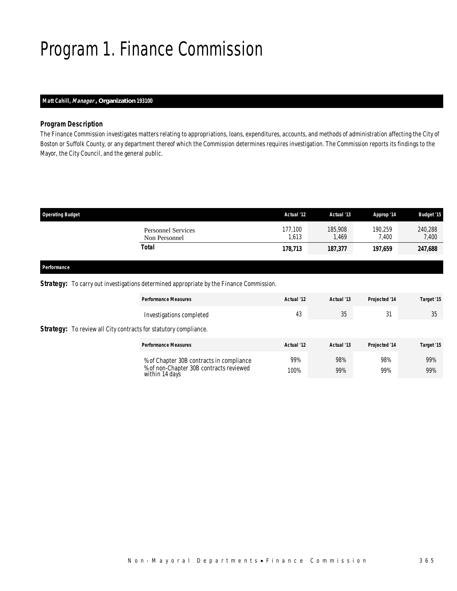# Program 1. Finance Commission

### *Matt Cahill, Manager , Organization 193100*

### *Program Description*

The Finance Commission investigates matters relating to appropriations, loans, expenditures, accounts, and methods of administration affecting the City of Boston or Suffolk County, or any department thereof which the Commission determines requires investigation. The Commission reports its findings to the Mayor, the City Council, and the general public.

| <b>Operating Budget</b>                    | Actual '12       | Actual '13      | Approp '14       | <b>Budget '15</b> |
|--------------------------------------------|------------------|-----------------|------------------|-------------------|
| <b>Personnel Services</b><br>Non Personnel | 177,100<br>1,613 | 185,908<br>.469 | 190.259<br>7,400 | 240,288<br>7,400  |
| Total                                      | 178,713          | 187,377         | 197,659          | 247,688           |
|                                            |                  |                 |                  |                   |

# *Performance*

### **Strategy:** To carry out investigations determined appropriate by the Finance Commission.

|                                                                         | <b>Performance Measures</b>                                                                           | Actual '12  | Actual '13 | Projected '14 | Target '15 |
|-------------------------------------------------------------------------|-------------------------------------------------------------------------------------------------------|-------------|------------|---------------|------------|
|                                                                         | Investigations completed                                                                              | 43          | 35         | 31            | 35         |
| <b>Strategy:</b> To review all City contracts for statutory compliance. |                                                                                                       |             |            |               |            |
|                                                                         | <b>Performance Measures</b>                                                                           | Actual '12  | Actual '13 | Projected '14 | Target '15 |
|                                                                         | % of Chapter 30B contracts in compliance<br>% of non-Chapter 30B contracts reviewed<br>within 14 days | 99%<br>100% | 98%<br>99% | 98%<br>99%    | 99%<br>99% |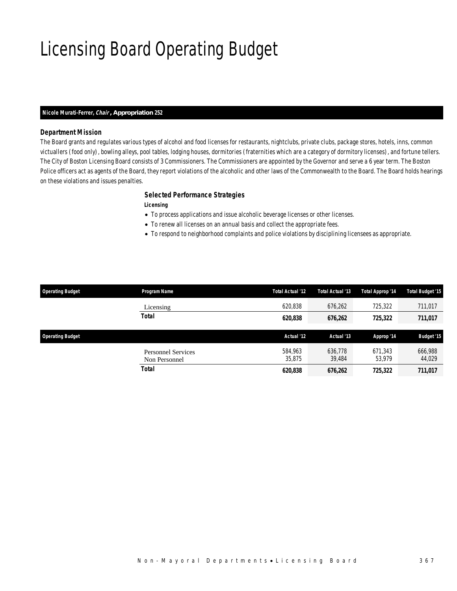# Licensing Board Operating Budget

#### *Nicole Murati-Ferrer, Chair , Appropriation 252*

### *Department Mission*

The Board grants and regulates various types of alcohol and food licenses for restaurants, nightclubs, private clubs, package stores, hotels, inns, common victuallers (food only), bowling alleys, pool tables, lodging houses, dormitories (fraternities which are a category of dormitory licenses), and fortune tellers. The City of Boston Licensing Board consists of 3 Commissioners. The Commissioners are appointed by the Governor and serve a 6 year term. The Boston Police officers act as agents of the Board, they report violations of the alcoholic and other laws of the Commonwealth to the Board. The Board holds hearings on these violations and issues penalties.

### *Selected Performance Strategies*

### *Licensing*

- To process applications and issue alcoholic beverage licenses or other licenses.
- To renew all licenses on an annual basis and collect the appropriate fees.
- To respond to neighborhood complaints and police violations by disciplining licensees as appropriate.

| <b>Operating Budget</b> | Program Name                               | Total Actual '12  | Total Actual '13  | Total Approp '14  | <b>Total Budget '15</b> |
|-------------------------|--------------------------------------------|-------------------|-------------------|-------------------|-------------------------|
|                         | Licensing                                  | 620,838           | 676,262           | 725,322           | 711,017                 |
|                         | Total                                      | 620,838           | 676,262           | 725,322           | 711,017                 |
| <b>Operating Budget</b> |                                            | Actual '12        | Actual '13        | Approp '14        | <b>Budget '15</b>       |
|                         | <b>Personnel Services</b><br>Non Personnel | 584.963<br>35.875 | 636.778<br>39,484 | 671.343<br>53.979 | 666,988<br>44,029       |
|                         | Total                                      | 620,838           | 676,262           | 725,322           | 711,017                 |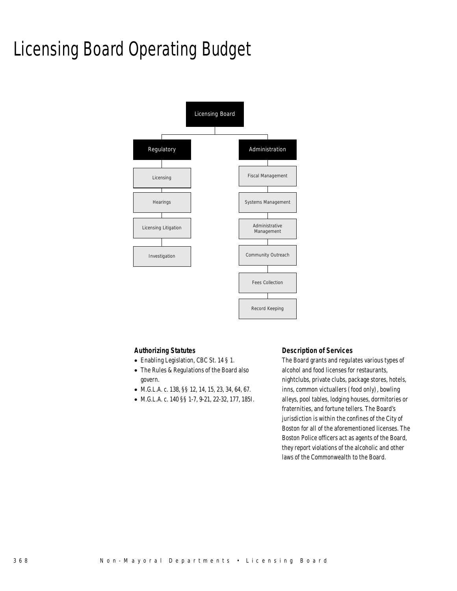# Licensing Board Operating Budget



### *Authorizing Statutes*

- Enabling Legislation, CBC St. 14 § 1.
- The Rules & Regulations of the Board also govern.
- M.G.L.A. c. 138, §§ 12, 14, 15, 23, 34, 64, 67.
- M.G.L.A. c. 140 §§ 1-7, 9-21, 22-32, 177, 185I.

### *Description of Services*

The Board grants and regulates various types of alcohol and food licenses for restaurants, nightclubs, private clubs, package stores, hotels, inns, common victuallers (food only), bowling alleys, pool tables, lodging houses, dormitories or fraternities, and fortune tellers. The Board's jurisdiction is within the confines of the City of Boston for all of the aforementioned licenses. The Boston Police officers act as agents of the Board, they report violations of the alcoholic and other laws of the Commonwealth to the Board.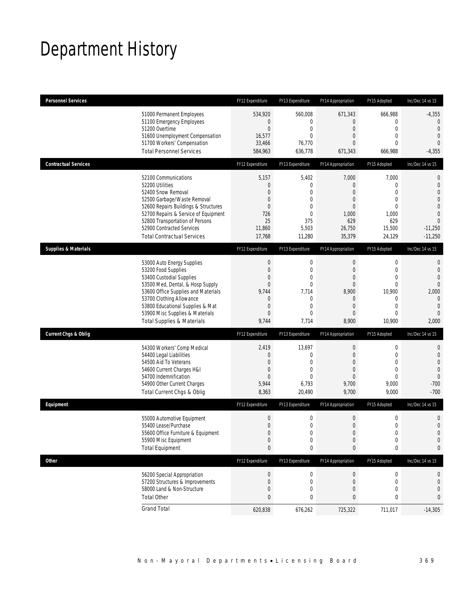# Department History

| <b>Personnel Services</b>       |                                                                                                                                                                                                                                                                                                      | FY12 Expenditure                                                                                                           | FY13 Expenditure                                                                          | FY14 Appropriation                                                                        | FY15 Adopted                                                                                                             | Inc/Dec 14 vs 15                                                                                                                               |
|---------------------------------|------------------------------------------------------------------------------------------------------------------------------------------------------------------------------------------------------------------------------------------------------------------------------------------------------|----------------------------------------------------------------------------------------------------------------------------|-------------------------------------------------------------------------------------------|-------------------------------------------------------------------------------------------|--------------------------------------------------------------------------------------------------------------------------|------------------------------------------------------------------------------------------------------------------------------------------------|
|                                 | 51000 Permanent Employees<br>51100 Emergency Employees<br>51200 Overtime<br>51600 Unemployment Compensation<br>51700 Workers' Compensation<br><b>Total Personnel Services</b>                                                                                                                        | 534,920<br>$\mathbf 0$<br>$\mathbf 0$<br>16,577<br>33,466<br>584,963                                                       | 560,008<br>0<br>0<br>0<br>76,770<br>636,778                                               | 671,343<br>0<br>$\mathbf 0$<br>0<br>0<br>671,343                                          | 666,988<br>$\mathbf 0$<br>$\mathbf 0$<br>$\mathbf{0}$<br>$\Omega$<br>666,988                                             | $-4,355$<br>0<br>$\overline{0}$<br>$\mathbf{0}$<br>$\theta$<br>$-4,355$                                                                        |
| <b>Contractual Services</b>     |                                                                                                                                                                                                                                                                                                      | FY12 Expenditure                                                                                                           | FY13 Expenditure                                                                          | FY14 Appropriation                                                                        | FY15 Adopted                                                                                                             | Inc/Dec 14 vs 15                                                                                                                               |
|                                 | 52100 Communications<br>52200 Utilities<br>52400 Snow Removal<br>52500 Garbage/Waste Removal<br>52600 Repairs Buildings & Structures<br>52700 Repairs & Service of Equipment<br>52800 Transportation of Persons<br>52900 Contracted Services<br><b>Total Contractual Services</b>                    | 5,157<br>$\theta$<br>$\overline{0}$<br>$\mathbf 0$<br>0<br>726<br>25<br>11,860<br>17,768                                   | 5,402<br>0<br>$\Omega$<br>$\mathbf{0}$<br>0<br>0<br>375<br>5,503<br>11,280                | 7,000<br>0<br>0<br>0<br>0<br>1,000<br>629<br>26,750<br>35,379                             | 7,000<br>$\mathbf 0$<br>$\Omega$<br>$\mathbf 0$<br>$\mathbf{0}$<br>1,000<br>629<br>15,500<br>24,129                      | $\mathbf 0$<br>$\mathbf 0$<br>$\overline{0}$<br>$\overline{0}$<br>$\overline{0}$<br>$\overline{0}$<br>$\overline{0}$<br>$-11,250$<br>$-11,250$ |
| <b>Supplies &amp; Materials</b> |                                                                                                                                                                                                                                                                                                      | FY12 Expenditure                                                                                                           | FY13 Expenditure                                                                          | FY14 Appropriation                                                                        | FY15 Adopted                                                                                                             | Inc/Dec 14 vs 15                                                                                                                               |
|                                 | 53000 Auto Energy Supplies<br>53200 Food Supplies<br>53400 Custodial Supplies<br>53500 Med, Dental, & Hosp Supply<br>53600 Office Supplies and Materials<br>53700 Clothing Allowance<br>53800 Educational Supplies & Mat<br>53900 Misc Supplies & Materials<br><b>Total Supplies &amp; Materials</b> | $\boldsymbol{0}$<br>$\boldsymbol{0}$<br>0<br>$\boldsymbol{0}$<br>9,744<br>0<br>$\boldsymbol{0}$<br>$\overline{0}$<br>9,744 | 0<br>0<br>0<br>0<br>7,714<br>0<br>$\mathbf{0}$<br>$\Omega$<br>7,714                       | $\mathbf 0$<br>$\mathbf 0$<br>0<br>$\mathbf 0$<br>8,900<br>$\mathbf 0$<br>0<br>0<br>8,900 | $\boldsymbol{0}$<br>$\mathbf 0$<br>$\mathbf{0}$<br>$\mathbf{0}$<br>10,900<br>0<br>$\mathbf{0}$<br>$\mathbf{0}$<br>10,900 | $\mathbf{0}$<br>$\mathbf{0}$<br>$\overline{0}$<br>$\Omega$<br>2,000<br>$\mathbf{0}$<br>$\mathbf{0}$<br>$\overline{0}$<br>2,000                 |
| <b>Current Chgs &amp; Oblig</b> |                                                                                                                                                                                                                                                                                                      | FY12 Expenditure                                                                                                           | FY13 Expenditure                                                                          | FY14 Appropriation                                                                        | FY15 Adopted                                                                                                             | Inc/Dec 14 vs 15                                                                                                                               |
|                                 | 54300 Workers' Comp Medical<br>54400 Legal Liabilities<br>54500 Aid To Veterans<br>54600 Current Charges H&I<br>54700 Indemnification<br>54900 Other Current Charges<br>Total Current Chgs & Oblig                                                                                                   | 2,419<br>$\overline{0}$<br>0<br>$\mathbf 0$<br>$\overline{0}$<br>5,944<br>8,363                                            | 13,697<br>$\boldsymbol{0}$<br>$\mathbf{0}$<br>$\mathbf{0}$<br>$\Omega$<br>6,793<br>20,490 | $\mathbf 0$<br>$\mathbf 0$<br>0<br>0<br>0<br>9,700<br>9,700                               | 0<br>$\mathbf 0$<br>$\mathbf{0}$<br>$\mathbf{0}$<br>$\mathbf{0}$<br>9,000<br>9,000                                       | $\mathbf 0$<br>$\mathbf 0$<br>$\overline{0}$<br>$\overline{0}$<br>$\theta$<br>$-700$<br>$-700$                                                 |
| Equipment                       |                                                                                                                                                                                                                                                                                                      | FY12 Expenditure                                                                                                           | FY13 Expenditure                                                                          | FY14 Appropriation                                                                        | FY15 Adopted                                                                                                             | Inc/Dec 14 vs 15                                                                                                                               |
|                                 | 55000 Automotive Equipment<br>55400 Lease/Purchase<br>55600 Office Furniture & Equipment<br>55900 Misc Equipment<br><b>Total Equipment</b>                                                                                                                                                           | $\boldsymbol{0}$<br>$\overline{0}$<br>$\boldsymbol{0}$<br>$\mathbf 0$<br>$\bf 0$                                           | 0<br>$\Omega$<br>0<br>0<br>0                                                              | $\mathbf 0$<br>$\overline{0}$<br>$\boldsymbol{0}$<br>$\mathbf 0$<br>0                     | $\mathbf 0$<br>$\mathbf 0$<br>$\boldsymbol{0}$<br>$\mathbf 0$<br>0                                                       | $\mathbf 0$<br>$\overline{0}$<br>$\mathbf 0$<br>$\mathbf 0$<br>0                                                                               |
| <b>Other</b>                    |                                                                                                                                                                                                                                                                                                      | FY12 Expenditure                                                                                                           | FY13 Expenditure                                                                          | FY14 Appropriation                                                                        | FY15 Adopted                                                                                                             | Inc/Dec 14 vs 15                                                                                                                               |
|                                 | 56200 Special Appropriation<br>57200 Structures & Improvements<br>58000 Land & Non-Structure<br><b>Total Other</b>                                                                                                                                                                                   | $\boldsymbol{0}$<br>$\boldsymbol{0}$<br>$\mathbf 0$<br>$\bf 0$                                                             | 0<br>0<br>0<br>0                                                                          | $\boldsymbol{0}$<br>0<br>$\mathbf 0$<br>0                                                 | 0<br>0<br>$\mathbf 0$<br>0                                                                                               | 0<br>$\mathbf 0$<br>$\mathbf 0$<br>0                                                                                                           |
|                                 | <b>Grand Total</b>                                                                                                                                                                                                                                                                                   | 620,838                                                                                                                    | 676,262                                                                                   | 725,322                                                                                   | 711,017                                                                                                                  | $-14,305$                                                                                                                                      |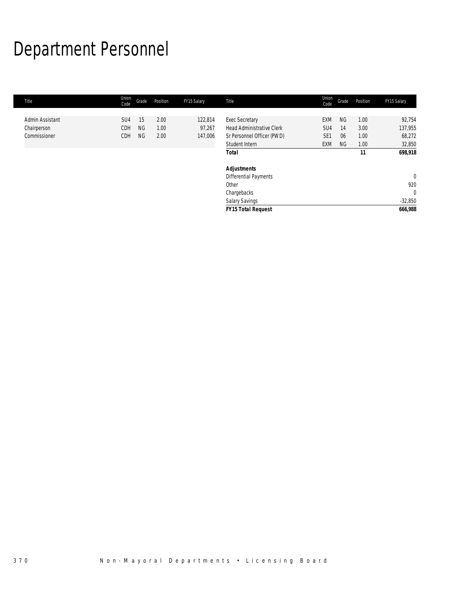# Department Personnel

| Title           | Union<br>Code | Grade     | Position | FY15 Salary | Title                            | Union<br>Code   | Grade     | Position | FY15 Salary  |
|-----------------|---------------|-----------|----------|-------------|----------------------------------|-----------------|-----------|----------|--------------|
|                 |               |           |          |             |                                  |                 |           |          |              |
| Admin Assistant | SU4           | 15        | 2.00     | 122,814     | <b>Exec Secretary</b>            | <b>EXM</b>      | <b>NG</b> | 1.00     | 92,754       |
| Chairperson     | CDH           | <b>NG</b> | 1.00     | 97,267      | <b>Head Administrative Clerk</b> | SU <sub>4</sub> | 14        | 3.00     | 137,955      |
| Commissioner    | CDH           | <b>NG</b> | 2.00     | 147,006     | Sr Personnel Officer (PWD)       | SE <sub>1</sub> | 06        | 1.00     | 68,272       |
|                 |               |           |          |             | Student Intern                   | <b>EXM</b>      | <b>NG</b> | 1.00     | 32,850       |
|                 |               |           |          |             | <b>Total</b>                     |                 |           | 11       | 698,918      |
|                 |               |           |          |             | <b>Adjustments</b>               |                 |           |          |              |
|                 |               |           |          |             | <b>Differential Payments</b>     |                 |           |          | $\mathbf{0}$ |
|                 |               |           |          |             | Other                            |                 |           |          | 920          |
|                 |               |           |          |             | Chargebacks                      |                 |           |          | $\mathbf{0}$ |
|                 |               |           |          |             | <b>Salary Savings</b>            |                 |           |          | $-32,850$    |
|                 |               |           |          |             | <b>FY15 Total Request</b>        |                 |           |          | 666,988      |